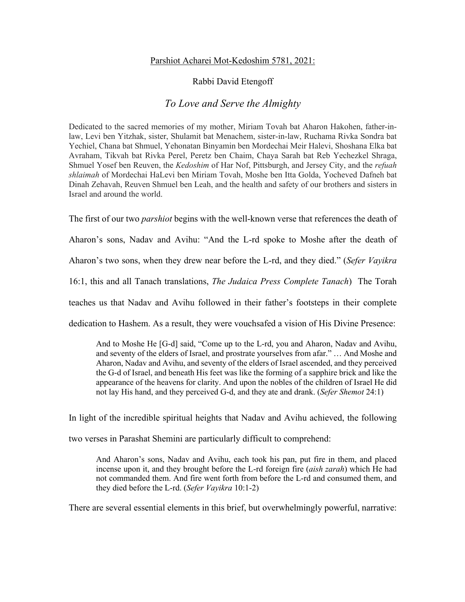## Parshiot Acharei Mot-Kedoshim 5781, 2021:

## Rabbi David Etengoff

## *To Love and Serve the Almighty*

Dedicated to the sacred memories of my mother, Miriam Tovah bat Aharon Hakohen, father-inlaw, Levi ben Yitzhak, sister, Shulamit bat Menachem, sister-in-law, Ruchama Rivka Sondra bat Yechiel, Chana bat Shmuel, Yehonatan Binyamin ben Mordechai Meir Halevi, Shoshana Elka bat Avraham, Tikvah bat Rivka Perel, Peretz ben Chaim, Chaya Sarah bat Reb Yechezkel Shraga, Shmuel Yosef ben Reuven, the *Kedoshim* of Har Nof, Pittsburgh, and Jersey City, and the *refuah shlaimah* of Mordechai HaLevi ben Miriam Tovah, Moshe ben Itta Golda, Yocheved Dafneh bat Dinah Zehavah, Reuven Shmuel ben Leah, and the health and safety of our brothers and sisters in Israel and around the world.

The first of our two *parshiot* begins with the well-known verse that references the death of

Aharon's sons, Nadav and Avihu: "And the L-rd spoke to Moshe after the death of

Aharon's two sons, when they drew near before the L-rd, and they died." (*Sefer Vayikra* 

16:1, this and all Tanach translations, *The Judaica Press Complete Tanach*) The Torah

teaches us that Nadav and Avihu followed in their father's footsteps in their complete

dedication to Hashem. As a result, they were vouchsafed a vision of His Divine Presence:

And to Moshe He [G-d] said, "Come up to the L-rd, you and Aharon, Nadav and Avihu, and seventy of the elders of Israel, and prostrate yourselves from afar." … And Moshe and Aharon, Nadav and Avihu, and seventy of the elders of Israel ascended, and they perceived the G-d of Israel, and beneath His feet was like the forming of a sapphire brick and like the appearance of the heavens for clarity. And upon the nobles of the children of Israel He did not lay His hand, and they perceived G-d, and they ate and drank. (*Sefer Shemot* 24:1)

In light of the incredible spiritual heights that Nadav and Avihu achieved, the following

two verses in Parashat Shemini are particularly difficult to comprehend:

And Aharon's sons, Nadav and Avihu, each took his pan, put fire in them, and placed incense upon it, and they brought before the L-rd foreign fire (*aish zarah*) which He had not commanded them. And fire went forth from before the L-rd and consumed them, and they died before the L-rd. (*Sefer Vayikra* 10:1-2)

There are several essential elements in this brief, but overwhelmingly powerful, narrative: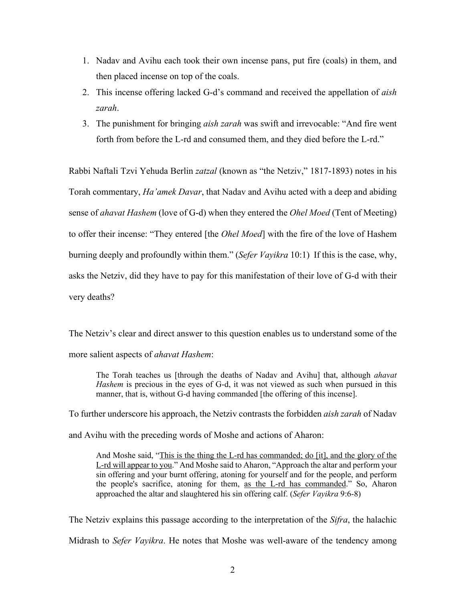- 1. Nadav and Avihu each took their own incense pans, put fire (coals) in them, and then placed incense on top of the coals.
- 2. This incense offering lacked G-d's command and received the appellation of *aish zarah*.
- 3. The punishment for bringing *aish zarah* was swift and irrevocable: "And fire went forth from before the L-rd and consumed them, and they died before the L-rd."

Rabbi Naftali Tzvi Yehuda Berlin *zatzal* (known as "the Netziv," 1817-1893) notes in his Torah commentary, *Ha'amek Davar*, that Nadav and Avihu acted with a deep and abiding sense of *ahavat Hashem* (love of G-d) when they entered the *Ohel Moed* (Tent of Meeting) to offer their incense: "They entered [the *Ohel Moed*] with the fire of the love of Hashem burning deeply and profoundly within them." (*Sefer Vayikra* 10:1) If this is the case, why, asks the Netziv, did they have to pay for this manifestation of their love of G-d with their very deaths?

The Netziv's clear and direct answer to this question enables us to understand some of the more salient aspects of *ahavat Hashem*:

The Torah teaches us [through the deaths of Nadav and Avihu] that, although *ahavat Hashem* is precious in the eyes of G-d, it was not viewed as such when pursued in this manner, that is, without G-d having commanded [the offering of this incense].

To further underscore his approach, the Netziv contrasts the forbidden *aish zarah* of Nadav and Avihu with the preceding words of Moshe and actions of Aharon:

And Moshe said, "This is the thing the L-rd has commanded; do [it], and the glory of the L-rd will appear to you." And Moshe said to Aharon, "Approach the altar and perform your sin offering and your burnt offering, atoning for yourself and for the people, and perform the people's sacrifice, atoning for them, as the L-rd has commanded." So, Aharon approached the altar and slaughtered his sin offering calf. (*Sefer Vayikra* 9:6-8)

The Netziv explains this passage according to the interpretation of the *Sifra*, the halachic Midrash to *Sefer Vayikra*. He notes that Moshe was well-aware of the tendency among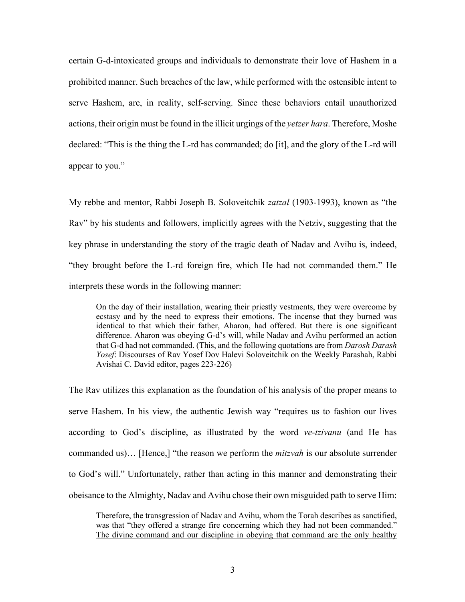certain G-d-intoxicated groups and individuals to demonstrate their love of Hashem in a prohibited manner. Such breaches of the law, while performed with the ostensible intent to serve Hashem, are, in reality, self-serving. Since these behaviors entail unauthorized actions, their origin must be found in the illicit urgings of the *yetzer hara*. Therefore, Moshe declared: "This is the thing the L-rd has commanded; do [it], and the glory of the L-rd will appear to you."

My rebbe and mentor, Rabbi Joseph B. Soloveitchik *zatzal* (1903-1993), known as "the Rav" by his students and followers, implicitly agrees with the Netziv, suggesting that the key phrase in understanding the story of the tragic death of Nadav and Avihu is, indeed, "they brought before the L-rd foreign fire, which He had not commanded them." He interprets these words in the following manner:

On the day of their installation, wearing their priestly vestments, they were overcome by ecstasy and by the need to express their emotions. The incense that they burned was identical to that which their father, Aharon, had offered. But there is one significant difference. Aharon was obeying G-d's will, while Nadav and Avihu performed an action that G-d had not commanded. (This, and the following quotations are from *Darosh Darash Yosef*: Discourses of Rav Yosef Dov Halevi Soloveitchik on the Weekly Parashah, Rabbi Avishai C. David editor, pages 223-226)

The Rav utilizes this explanation as the foundation of his analysis of the proper means to serve Hashem. In his view, the authentic Jewish way "requires us to fashion our lives according to God's discipline, as illustrated by the word *ve-tzivanu* (and He has commanded us)… [Hence,] "the reason we perform the *mitzvah* is our absolute surrender to God's will." Unfortunately, rather than acting in this manner and demonstrating their obeisance to the Almighty, Nadav and Avihu chose their own misguided path to serve Him:

Therefore, the transgression of Nadav and Avihu, whom the Torah describes as sanctified, was that "they offered a strange fire concerning which they had not been commanded." The divine command and our discipline in obeying that command are the only healthy